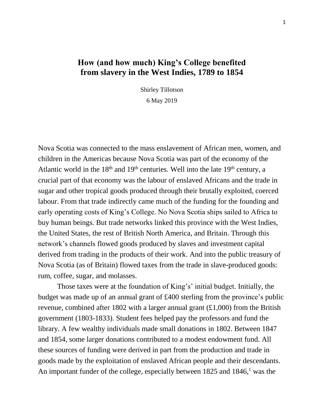# **How (and how much) King's College benefited from slavery in the West Indies, 1789 to 1854**

Shirley Tillotson

6 May 2019

Nova Scotia was connected to the mass enslavement of African men, women, and children in the Americas because Nova Scotia was part of the economy of the Atlantic world in the  $18<sup>th</sup>$  and  $19<sup>th</sup>$  centuries. Well into the late  $19<sup>th</sup>$  century, a crucial part of that economy was the labour of enslaved Africans and the trade in sugar and other tropical goods produced through their brutally exploited, coerced labour. From that trade indirectly came much of the funding for the founding and early operating costs of King's College. No Nova Scotia ships sailed to Africa to buy human beings. But trade networks linked this province with the West Indies, the United States, the rest of British North America, and Britain. Through this network's channels flowed goods produced by slaves and investment capital derived from trading in the products of their work. And into the public treasury of Nova Scotia (as of Britain) flowed taxes from the trade in slave-produced goods: rum, coffee, sugar, and molasses.

Those taxes were at the foundation of King's' initial budget. Initially, the budget was made up of an annual grant of £400 sterling from the province's public revenue, combined after 1802 with a larger annual grant  $(\text{\textsterling}1,000)$  from the British government (1803-1833). Student fees helped pay the professors and fund the library. A few wealthy individuals made small donations in 1802. Between 1847 and 1854, some larger donations contributed to a modest endowment fund. All these sources of funding were derived in part from the production and trade in goods made by the exploitation of enslaved African people and their descendants. An important funder of the college, especially between  $1825$  and  $1846$ ,<sup>1</sup> was the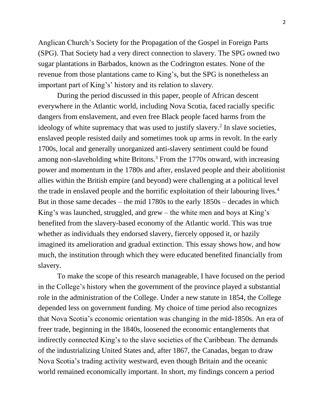Anglican Church's Society for the Propagation of the Gospel in Foreign Parts (SPG). That Society had a very direct connection to slavery. The SPG owned two sugar plantations in Barbados, known as the Codrington estates. None of the revenue from those plantations came to King's, but the SPG is nonetheless an important part of King's' history and its relation to slavery.

During the period discussed in this paper, people of African descent everywhere in the Atlantic world, including Nova Scotia, faced racially specific dangers from enslavement, and even free Black people faced harms from the ideology of white supremacy that was used to justify slavery.<sup>2</sup> In slave societies, enslaved people resisted daily and sometimes took up arms in revolt. In the early 1700s, local and generally unorganized anti-slavery sentiment could be found among non-slaveholding white Britons.<sup>3</sup> From the 1770s onward, with increasing power and momentum in the 1780s and after, enslaved people and their abolitionist allies within the British empire (and beyond) were challenging at a political level the trade in enslaved people and the horrific exploitation of their labouring lives.<sup>4</sup> But in those same decades – the mid 1780s to the early 1850s – decades in which King's was launched, struggled, and grew – the white men and boys at King's benefited from the slavery-based economy of the Atlantic world. This was true whether as individuals they endorsed slavery, fiercely opposed it, or hazily imagined its amelioration and gradual extinction. This essay shows how, and how much, the institution through which they were educated benefited financially from slavery.

To make the scope of this research manageable, I have focused on the period in the College's history when the government of the province played a substantial role in the administration of the College. Under a new statute in 1854, the College depended less on government funding. My choice of time period also recognizes that Nova Scotia's economic orientation was changing in the mid-1850s. An era of freer trade, beginning in the 1840s, loosened the economic entanglements that indirectly connected King's to the slave societies of the Caribbean. The demands of the industrializing United States and, after 1867, the Canadas, began to draw Nova Scotia's trading activity westward, even though Britain and the oceanic world remained economically important. In short, my findings concern a period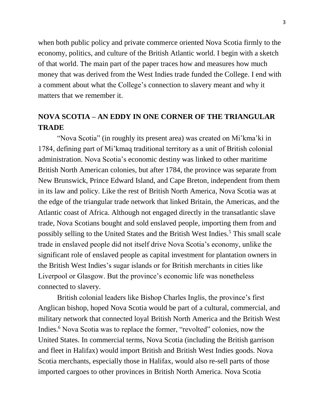when both public policy and private commerce oriented Nova Scotia firmly to the economy, politics, and culture of the British Atlantic world. I begin with a sketch of that world. The main part of the paper traces how and measures how much money that was derived from the West Indies trade funded the College. I end with a comment about what the College's connection to slavery meant and why it matters that we remember it.

# **NOVA SCOTIA – AN EDDY IN ONE CORNER OF THE TRIANGULAR TRADE**

"Nova Scotia" (in roughly its present area) was created on Mi'kma'ki in 1784, defining part of Mi'kmaq traditional territory as a unit of British colonial administration. Nova Scotia's economic destiny was linked to other maritime British North American colonies, but after 1784, the province was separate from New Brunswick, Prince Edward Island, and Cape Breton, independent from them in its law and policy. Like the rest of British North America, Nova Scotia was at the edge of the triangular trade network that linked Britain, the Americas, and the Atlantic coast of Africa. Although not engaged directly in the transatlantic slave trade, Nova Scotians bought and sold enslaved people, importing them from and possibly selling to the United States and the British West Indies.<sup>5</sup> This small scale trade in enslaved people did not itself drive Nova Scotia's economy, unlike the significant role of enslaved people as capital investment for plantation owners in the British West Indies's sugar islands or for British merchants in cities like Liverpool or Glasgow. But the province's economic life was nonetheless connected to slavery.

British colonial leaders like Bishop Charles Inglis, the province's first Anglican bishop, hoped Nova Scotia would be part of a cultural, commercial, and military network that connected loyal British North America and the British West Indies. <sup>6</sup> Nova Scotia was to replace the former, "revolted" colonies, now the United States. In commercial terms, Nova Scotia (including the British garrison and fleet in Halifax) would import British and British West Indies goods. Nova Scotia merchants, especially those in Halifax, would also re-sell parts of those imported cargoes to other provinces in British North America. Nova Scotia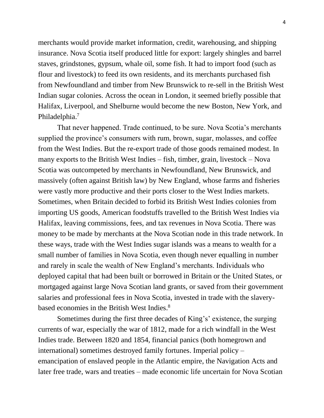merchants would provide market information, credit, warehousing, and shipping insurance. Nova Scotia itself produced little for export: largely shingles and barrel staves, grindstones, gypsum, whale oil, some fish. It had to import food (such as flour and livestock) to feed its own residents, and its merchants purchased fish from Newfoundland and timber from New Brunswick to re-sell in the British West Indian sugar colonies. Across the ocean in London, it seemed briefly possible that Halifax, Liverpool, and Shelburne would become the new Boston, New York, and Philadelphia.<sup>7</sup>

That never happened. Trade continued, to be sure. Nova Scotia's merchants supplied the province's consumers with rum, brown, sugar, molasses, and coffee from the West Indies. But the re-export trade of those goods remained modest. In many exports to the British West Indies – fish, timber, grain, livestock – Nova Scotia was outcompeted by merchants in Newfoundland, New Brunswick, and massively (often against British law) by New England, whose farms and fisheries were vastly more productive and their ports closer to the West Indies markets. Sometimes, when Britain decided to forbid its British West Indies colonies from importing US goods, American foodstuffs travelled to the British West Indies via Halifax, leaving commissions, fees, and tax revenues in Nova Scotia. There was money to be made by merchants at the Nova Scotian node in this trade network. In these ways, trade with the West Indies sugar islands was a means to wealth for a small number of families in Nova Scotia, even though never equalling in number and rarely in scale the wealth of New England's merchants. Individuals who deployed capital that had been built or borrowed in Britain or the United States, or mortgaged against large Nova Scotian land grants, or saved from their government salaries and professional fees in Nova Scotia, invested in trade with the slaverybased economies in the British West Indies.<sup>8</sup>

Sometimes during the first three decades of King's' existence, the surging currents of war, especially the war of 1812, made for a rich windfall in the West Indies trade. Between 1820 and 1854, financial panics (both homegrown and international) sometimes destroyed family fortunes. Imperial policy – emancipation of enslaved people in the Atlantic empire, the Navigation Acts and later free trade, wars and treaties – made economic life uncertain for Nova Scotian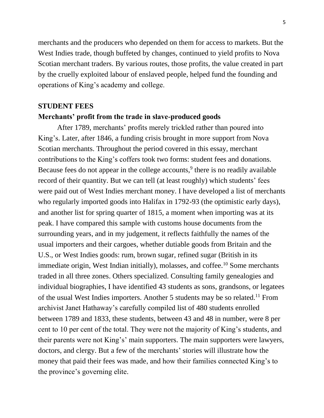merchants and the producers who depended on them for access to markets. But the West Indies trade, though buffeted by changes, continued to yield profits to Nova Scotian merchant traders. By various routes, those profits, the value created in part by the cruelly exploited labour of enslaved people, helped fund the founding and operations of King's academy and college.

## **STUDENT FEES**

# **Merchants' profit from the trade in slave-produced goods**

After 1789, merchants' profits merely trickled rather than poured into King's. Later, after 1846, a funding crisis brought in more support from Nova Scotian merchants. Throughout the period covered in this essay, merchant contributions to the King's coffers took two forms: student fees and donations. Because fees do not appear in the college accounts,<sup>9</sup> there is no readily available record of their quantity. But we can tell (at least roughly) which students' fees were paid out of West Indies merchant money. I have developed a list of merchants who regularly imported goods into Halifax in 1792-93 (the optimistic early days), and another list for spring quarter of 1815, a moment when importing was at its peak. I have compared this sample with customs house documents from the surrounding years, and in my judgement, it reflects faithfully the names of the usual importers and their cargoes, whether dutiable goods from Britain and the U.S., or West Indies goods: rum, brown sugar, refined sugar (British in its immediate origin, West Indian initially), molasses, and coffee.<sup>10</sup> Some merchants traded in all three zones. Others specialized. Consulting family genealogies and individual biographies, I have identified 43 students as sons, grandsons, or legatees of the usual West Indies importers. Another 5 students may be so related.<sup>11</sup> From archivist Janet Hathaway's carefully compiled list of 480 students enrolled between 1789 and 1833, these students, between 43 and 48 in number, were 8 per cent to 10 per cent of the total. They were not the majority of King's students, and their parents were not King's' main supporters. The main supporters were lawyers, doctors, and clergy. But a few of the merchants' stories will illustrate how the money that paid their fees was made, and how their families connected King's to the province's governing elite.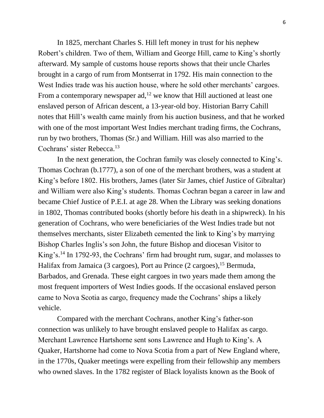In 1825, merchant Charles S. Hill left money in trust for his nephew Robert's children. Two of them, William and George Hill, came to King's shortly afterward. My sample of customs house reports shows that their uncle Charles brought in a cargo of rum from Montserrat in 1792. His main connection to the West Indies trade was his auction house, where he sold other merchants' cargoes. From a contemporary newspaper ad,<sup>12</sup> we know that Hill auctioned at least one enslaved person of African descent, a 13-year-old boy. Historian Barry Cahill notes that Hill's wealth came mainly from his auction business, and that he worked with one of the most important West Indies merchant trading firms, the Cochrans, run by two brothers, Thomas (Sr.) and William. Hill was also married to the Cochrans' sister Rebecca.<sup>13</sup>

In the next generation, the Cochran family was closely connected to King's. Thomas Cochran (b.1777), a son of one of the merchant brothers, was a student at King's before 1802. His brothers, James (later Sir James, chief Justice of Gibraltar) and William were also King's students. Thomas Cochran began a career in law and became Chief Justice of P.E.I. at age 28. When the Library was seeking donations in 1802, Thomas contributed books (shortly before his death in a shipwreck). In his generation of Cochrans, who were beneficiaries of the West Indies trade but not themselves merchants, sister Elizabeth cemented the link to King's by marrying Bishop Charles Inglis's son John, the future Bishop and diocesan Visitor to King's. <sup>14</sup> In 1792-93, the Cochrans' firm had brought rum, sugar, and molasses to Halifax from Jamaica (3 cargoes), Port au Prince (2 cargoes), <sup>15</sup> Bermuda, Barbados, and Grenada. These eight cargoes in two years made them among the most frequent importers of West Indies goods. If the occasional enslaved person came to Nova Scotia as cargo, frequency made the Cochrans' ships a likely vehicle.

Compared with the merchant Cochrans, another King's father-son connection was unlikely to have brought enslaved people to Halifax as cargo. Merchant Lawrence Hartshorne sent sons Lawrence and Hugh to King's. A Quaker, Hartshorne had come to Nova Scotia from a part of New England where, in the 1770s, Quaker meetings were expelling from their fellowship any members who owned slaves. In the 1782 register of Black loyalists known as the Book of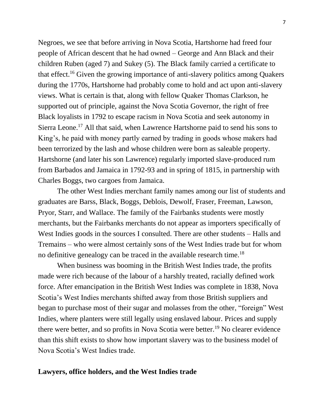Negroes, we see that before arriving in Nova Scotia, Hartshorne had freed four people of African descent that he had owned – George and Ann Black and their children Ruben (aged 7) and Sukey (5). The Black family carried a certificate to that effect.<sup>16</sup> Given the growing importance of anti-slavery politics among Quakers during the 1770s, Hartshorne had probably come to hold and act upon anti-slavery views. What is certain is that, along with fellow Quaker Thomas Clarkson, he supported out of principle, against the Nova Scotia Governor, the right of free Black loyalists in 1792 to escape racism in Nova Scotia and seek autonomy in Sierra Leone.<sup>17</sup> All that said, when Lawrence Hartshorne paid to send his sons to King's, he paid with money partly earned by trading in goods whose makers had been terrorized by the lash and whose children were born as saleable property. Hartshorne (and later his son Lawrence) regularly imported slave-produced rum from Barbados and Jamaica in 1792-93 and in spring of 1815, in partnership with Charles Boggs, two cargoes from Jamaica.

The other West Indies merchant family names among our list of students and graduates are Barss, Black, Boggs, Deblois, Dewolf, Fraser, Freeman, Lawson, Pryor, Starr, and Wallace. The family of the Fairbanks students were mostly merchants, but the Fairbanks merchants do not appear as importers specifically of West Indies goods in the sources I consulted. There are other students – Halls and Tremains – who were almost certainly sons of the West Indies trade but for whom no definitive genealogy can be traced in the available research time.<sup>18</sup>

When business was booming in the British West Indies trade, the profits made were rich because of the labour of a harshly treated, racially defined work force. After emancipation in the British West Indies was complete in 1838, Nova Scotia's West Indies merchants shifted away from those British suppliers and began to purchase most of their sugar and molasses from the other, "foreign" West Indies, where planters were still legally using enslaved labour. Prices and supply there were better, and so profits in Nova Scotia were better.<sup>19</sup> No clearer evidence than this shift exists to show how important slavery was to the business model of Nova Scotia's West Indies trade.

### **Lawyers, office holders, and the West Indies trade**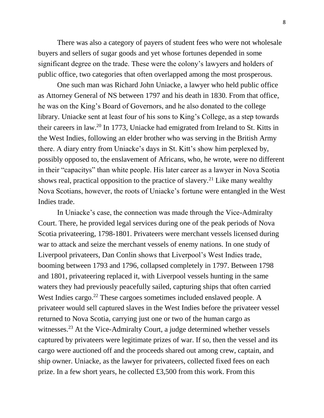There was also a category of payers of student fees who were not wholesale buyers and sellers of sugar goods and yet whose fortunes depended in some significant degree on the trade. These were the colony's lawyers and holders of public office, two categories that often overlapped among the most prosperous.

One such man was Richard John Uniacke, a lawyer who held public office as Attorney General of NS between 1797 and his death in 1830. From that office, he was on the King's Board of Governors, and he also donated to the college library. Uniacke sent at least four of his sons to King's College, as a step towards their careers in law.<sup>20</sup> In 1773, Uniacke had emigrated from Ireland to St. Kitts in the West Indies, following an elder brother who was serving in the British Army there. A diary entry from Uniacke's days in St. Kitt's show him perplexed by, possibly opposed to, the enslavement of Africans, who, he wrote, were no different in their "capacitys" than white people. His later career as a lawyer in Nova Scotia shows real, practical opposition to the practice of slavery.<sup>21</sup> Like many wealthy Nova Scotians, however, the roots of Uniacke's fortune were entangled in the West Indies trade.

In Uniacke's case, the connection was made through the Vice-Admiralty Court. There, he provided legal services during one of the peak periods of Nova Scotia privateering, 1798-1801. Privateers were merchant vessels licensed during war to attack and seize the merchant vessels of enemy nations. In one study of Liverpool privateers, Dan Conlin shows that Liverpool's West Indies trade, booming between 1793 and 1796, collapsed completely in 1797. Between 1798 and 1801, privateering replaced it, with Liverpool vessels hunting in the same waters they had previously peacefully sailed, capturing ships that often carried West Indies cargo.<sup>22</sup> These cargoes sometimes included enslaved people. A privateer would sell captured slaves in the West Indies before the privateer vessel returned to Nova Scotia, carrying just one or two of the human cargo as witnesses.<sup>23</sup> At the Vice-Admiralty Court, a judge determined whether vessels captured by privateers were legitimate prizes of war. If so, then the vessel and its cargo were auctioned off and the proceeds shared out among crew, captain, and ship owner. Uniacke, as the lawyer for privateers, collected fixed fees on each prize. In a few short years, he collected £3,500 from this work. From this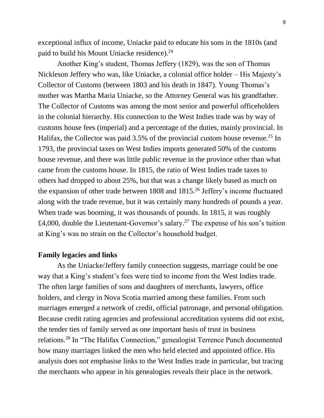exceptional influx of income, Uniacke paid to educate his sons in the 1810s (and paid to build his Mount Uniacke residence).<sup>24</sup>

Another King's student, Thomas Jeffery (1829), was the son of Thomas Nickleson Jeffery who was, like Uniacke, a colonial office holder – His Majesty's Collector of Customs (between 1803 and his death in 1847). Young Thomas's mother was Martha Maria Uniacke, so the Attorney General was his grandfather. The Collector of Customs was among the most senior and powerful officeholders in the colonial hierarchy. His connection to the West Indies trade was by way of customs house fees (imperial) and a percentage of the duties, mainly provincial. In Halifax, the Collector was paid  $3.5\%$  of the provincial custom house revenue.<sup>25</sup> In 1793, the provincial taxes on West Indies imports generated 50% of the customs house revenue, and there was little public revenue in the province other than what came from the customs house. In 1815, the ratio of West Indies trade taxes to others had dropped to about 25%, but that was a change likely based as much on the expansion of other trade between 1808 and 1815.<sup>26</sup> Jeffery's income fluctuated along with the trade revenue, but it was certainly many hundreds of pounds a year. When trade was booming, it was thousands of pounds. In 1815, it was roughly £4,000, double the Lieutenant-Governor's salary.<sup>27</sup> The expense of his son's tuition at King's was no strain on the Collector's household budget.

### **Family legacies and links**

As the Uniacke/Jeffery family connection suggests, marriage could be one way that a King's student's fees were tied to income from the West Indies trade. The often large families of sons and daughters of merchants, lawyers, office holders, and clergy in Nova Scotia married among these families. From such marriages emerged a network of credit, official patronage, and personal obligation. Because credit rating agencies and professional accreditation systems did not exist, the tender ties of family served as one important basis of trust in business relations.<sup>28</sup> In "The Halifax Connection," genealogist Terrence Punch documented how many marriages linked the men who held elected and appointed office. His analysis does not emphasise links to the West Indies trade in particular, but tracing the merchants who appear in his genealogies reveals their place in the network.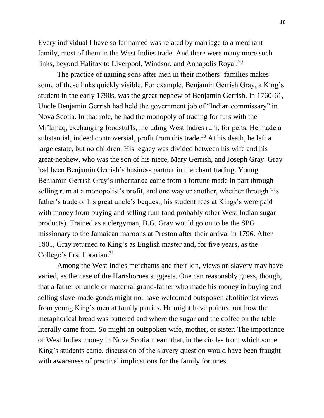Every individual I have so far named was related by marriage to a merchant family, most of them in the West Indies trade. And there were many more such links, beyond Halifax to Liverpool, Windsor, and Annapolis Royal.<sup>29</sup>

The practice of naming sons after men in their mothers' families makes some of these links quickly visible. For example, Benjamin Gerrish Gray, a King's student in the early 1790s, was the great-nephew of Benjamin Gerrish. In 1760-61, Uncle Benjamin Gerrish had held the government job of "Indian commissary" in Nova Scotia. In that role, he had the monopoly of trading for furs with the Mi'kmaq, exchanging foodstuffs, including West Indies rum, for pelts. He made a substantial, indeed controversial, profit from this trade.<sup>30</sup> At his death, he left a large estate, but no children. His legacy was divided between his wife and his great-nephew, who was the son of his niece, Mary Gerrish, and Joseph Gray. Gray had been Benjamin Gerrish's business partner in merchant trading. Young Benjamin Gerrish Gray's inheritance came from a fortune made in part through selling rum at a monopolist's profit, and one way or another, whether through his father's trade or his great uncle's bequest, his student fees at Kings's were paid with money from buying and selling rum (and probably other West Indian sugar products). Trained as a clergyman, B.G. Gray would go on to be the SPG missionary to the Jamaican maroons at Preston after their arrival in 1796. After 1801, Gray returned to King's as English master and, for five years, as the College's first librarian.<sup>31</sup>

Among the West Indies merchants and their kin, views on slavery may have varied, as the case of the Hartshornes suggests. One can reasonably guess, though, that a father or uncle or maternal grand-father who made his money in buying and selling slave-made goods might not have welcomed outspoken abolitionist views from young King's men at family parties. He might have pointed out how the metaphorical bread was buttered and where the sugar and the coffee on the table literally came from. So might an outspoken wife, mother, or sister. The importance of West Indies money in Nova Scotia meant that, in the circles from which some King's students came, discussion of the slavery question would have been fraught with awareness of practical implications for the family fortunes.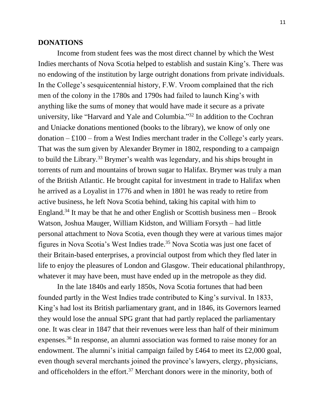#### **DONATIONS**

Income from student fees was the most direct channel by which the West Indies merchants of Nova Scotia helped to establish and sustain King's. There was no endowing of the institution by large outright donations from private individuals. In the College's sesquicentennial history, F.W. Vroom complained that the rich men of the colony in the 1780s and 1790s had failed to launch King's with anything like the sums of money that would have made it secure as a private university, like "Harvard and Yale and Columbia." <sup>32</sup> In addition to the Cochran and Uniacke donations mentioned (books to the library), we know of only one  $\alpha$  donation – £100 – from a West Indies merchant trader in the College's early years. That was the sum given by Alexander Brymer in 1802, responding to a campaign to build the Library.<sup>33</sup> Brymer's wealth was legendary, and his ships brought in torrents of rum and mountains of brown sugar to Halifax. Brymer was truly a man of the British Atlantic. He brought capital for investment in trade to Halifax when he arrived as a Loyalist in 1776 and when in 1801 he was ready to retire from active business, he left Nova Scotia behind, taking his capital with him to England.<sup>34</sup> It may be that he and other English or Scottish business men  $-$  Brook Watson, Joshua Mauger, William Kidston, and William Forsyth – had little personal attachment to Nova Scotia, even though they were at various times major figures in Nova Scotia's West Indies trade.<sup>35</sup> Nova Scotia was just one facet of their Britain-based enterprises, a provincial outpost from which they fled later in life to enjoy the pleasures of London and Glasgow. Their educational philanthropy, whatever it may have been, must have ended up in the metropole as they did.

In the late 1840s and early 1850s, Nova Scotia fortunes that had been founded partly in the West Indies trade contributed to King's survival. In 1833, King's had lost its British parliamentary grant, and in 1846, its Governors learned they would lose the annual SPG grant that had partly replaced the parliamentary one. It was clear in 1847 that their revenues were less than half of their minimum expenses.<sup>36</sup> In response, an alumni association was formed to raise money for an endowment. The alumni's initial campaign failed by £464 to meet its £2,000 goal, even though several merchants joined the province's lawyers, clergy, physicians, and officeholders in the effort.<sup>37</sup> Merchant donors were in the minority, both of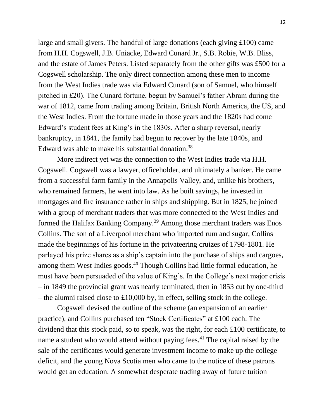large and small givers. The handful of large donations (each giving £100) came from H.H. Cogswell, J.B. Uniacke, Edward Cunard Jr., S.B. Robie, W.B. Bliss, and the estate of James Peters. Listed separately from the other gifts was £500 for a Cogswell scholarship. The only direct connection among these men to income from the West Indies trade was via Edward Cunard (son of Samuel, who himself pitched in £20). The Cunard fortune, begun by Samuel's father Abram during the war of 1812, came from trading among Britain, British North America, the US, and the West Indies. From the fortune made in those years and the 1820s had come Edward's student fees at King's in the 1830s. After a sharp reversal, nearly bankruptcy, in 1841, the family had begun to recover by the late 1840s, and Edward was able to make his substantial donation.<sup>38</sup>

More indirect yet was the connection to the West Indies trade via H.H. Cogswell. Cogswell was a lawyer, officeholder, and ultimately a banker. He came from a successful farm family in the Annapolis Valley, and, unlike his brothers, who remained farmers, he went into law. As he built savings, he invested in mortgages and fire insurance rather in ships and shipping. But in 1825, he joined with a group of merchant traders that was more connected to the West Indies and formed the Halifax Banking Company.<sup>39</sup> Among those merchant traders was Enos Collins. The son of a Liverpool merchant who imported rum and sugar, Collins made the beginnings of his fortune in the privateering cruizes of 1798-1801. He parlayed his prize shares as a ship's captain into the purchase of ships and cargoes, among them West Indies goods.<sup>40</sup> Though Collins had little formal education, he must have been persuaded of the value of King's. In the College's next major crisis – in 1849 the provincial grant was nearly terminated, then in 1853 cut by one-third – the alumni raised close to £10,000 by, in effect, selling stock in the college.

Cogswell devised the outline of the scheme (an expansion of an earlier practice), and Collins purchased ten "Stock Certificates" at £100 each. The dividend that this stock paid, so to speak, was the right, for each £100 certificate, to name a student who would attend without paying fees.<sup>41</sup> The capital raised by the sale of the certificates would generate investment income to make up the college deficit, and the young Nova Scotia men who came to the notice of these patrons would get an education. A somewhat desperate trading away of future tuition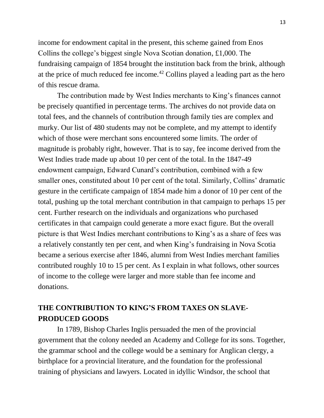income for endowment capital in the present, this scheme gained from Enos Collins the college's biggest single Nova Scotian donation, £1,000. The fundraising campaign of 1854 brought the institution back from the brink, although at the price of much reduced fee income.<sup>42</sup> Collins played a leading part as the hero of this rescue drama.

The contribution made by West Indies merchants to King's finances cannot be precisely quantified in percentage terms. The archives do not provide data on total fees, and the channels of contribution through family ties are complex and murky. Our list of 480 students may not be complete, and my attempt to identify which of those were merchant sons encountered some limits. The order of magnitude is probably right, however. That is to say, fee income derived from the West Indies trade made up about 10 per cent of the total. In the 1847-49 endowment campaign, Edward Cunard's contribution, combined with a few smaller ones, constituted about 10 per cent of the total. Similarly, Collins' dramatic gesture in the certificate campaign of 1854 made him a donor of 10 per cent of the total, pushing up the total merchant contribution in that campaign to perhaps 15 per cent. Further research on the individuals and organizations who purchased certificates in that campaign could generate a more exact figure. But the overall picture is that West Indies merchant contributions to King's as a share of fees was a relatively constantly ten per cent, and when King's fundraising in Nova Scotia became a serious exercise after 1846, alumni from West Indies merchant families contributed roughly 10 to 15 per cent. As I explain in what follows, other sources of income to the college were larger and more stable than fee income and donations.

# **THE CONTRIBUTION TO KING'S FROM TAXES ON SLAVE-PRODUCED GOODS**

In 1789, Bishop Charles Inglis persuaded the men of the provincial government that the colony needed an Academy and College for its sons. Together, the grammar school and the college would be a seminary for Anglican clergy, a birthplace for a provincial literature, and the foundation for the professional training of physicians and lawyers. Located in idyllic Windsor, the school that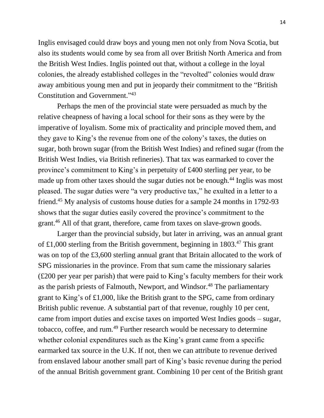Inglis envisaged could draw boys and young men not only from Nova Scotia, but also its students would come by sea from all over British North America and from the British West Indies. Inglis pointed out that, without a college in the loyal colonies, the already established colleges in the "revolted" colonies would draw away ambitious young men and put in jeopardy their commitment to the "British Constitution and Government." 43

Perhaps the men of the provincial state were persuaded as much by the relative cheapness of having a local school for their sons as they were by the imperative of loyalism. Some mix of practicality and principle moved them, and they gave to King's the revenue from one of the colony's taxes, the duties on sugar, both brown sugar (from the British West Indies) and refined sugar (from the British West Indies, via British refineries). That tax was earmarked to cover the province's commitment to King's in perpetuity of £400 sterling per year, to be made up from other taxes should the sugar duties not be enough.<sup>44</sup> Inglis was most pleased. The sugar duties were "a very productive tax," he exulted in a letter to a friend. <sup>45</sup> My analysis of customs house duties for a sample 24 months in 1792-93 shows that the sugar duties easily covered the province's commitment to the grant.<sup>46</sup> All of that grant, therefore, came from taxes on slave-grown goods.

Larger than the provincial subsidy, but later in arriving, was an annual grant of £1,000 sterling from the British government, beginning in 1803. <sup>47</sup> This grant was on top of the £3,600 sterling annual grant that Britain allocated to the work of SPG missionaries in the province. From that sum came the missionary salaries (£200 per year per parish) that were paid to King's faculty members for their work as the parish priests of Falmouth, Newport, and Windsor.<sup>48</sup> The parliamentary grant to King's of £1,000, like the British grant to the SPG, came from ordinary British public revenue. A substantial part of that revenue, roughly 10 per cent, came from import duties and excise taxes on imported West Indies goods – sugar, tobacco, coffee, and rum.<sup>49</sup> Further research would be necessary to determine whether colonial expenditures such as the King's grant came from a specific earmarked tax source in the U.K. If not, then we can attribute to revenue derived from enslaved labour another small part of King's basic revenue during the period of the annual British government grant. Combining 10 per cent of the British grant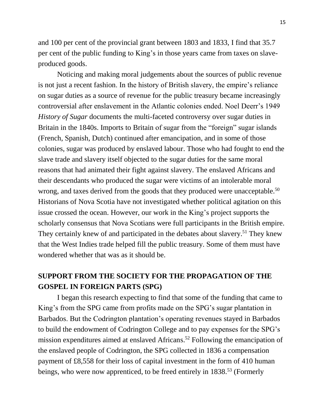and 100 per cent of the provincial grant between 1803 and 1833, I find that 35.7 per cent of the public funding to King's in those years came from taxes on slaveproduced goods.

Noticing and making moral judgements about the sources of public revenue is not just a recent fashion. In the history of British slavery, the empire's reliance on sugar duties as a source of revenue for the public treasury became increasingly controversial after enslavement in the Atlantic colonies ended. Noel Deerr's 1949 *History of Sugar* documents the multi-faceted controversy over sugar duties in Britain in the 1840s. Imports to Britain of sugar from the "foreign" sugar islands (French, Spanish, Dutch) continued after emancipation, and in some of those colonies, sugar was produced by enslaved labour. Those who had fought to end the slave trade and slavery itself objected to the sugar duties for the same moral reasons that had animated their fight against slavery. The enslaved Africans and their descendants who produced the sugar were victims of an intolerable moral wrong, and taxes derived from the goods that they produced were unacceptable.<sup>50</sup> Historians of Nova Scotia have not investigated whether political agitation on this issue crossed the ocean. However, our work in the King's project supports the scholarly consensus that Nova Scotians were full participants in the British empire. They certainly knew of and participated in the debates about slavery.<sup>51</sup> They knew that the West Indies trade helped fill the public treasury. Some of them must have wondered whether that was as it should be.

# **SUPPORT FROM THE SOCIETY FOR THE PROPAGATION OF THE GOSPEL IN FOREIGN PARTS (SPG)**

I began this research expecting to find that some of the funding that came to King's from the SPG came from profits made on the SPG's sugar plantation in Barbados. But the Codrington plantation's operating revenues stayed in Barbados to build the endowment of Codrington College and to pay expenses for the SPG's mission expenditures aimed at enslaved Africans.<sup>52</sup> Following the emancipation of the enslaved people of Codrington, the SPG collected in 1836 a compensation payment of £8,558 for their loss of capital investment in the form of 410 human beings, who were now apprenticed, to be freed entirely in 1838.<sup>53</sup> (Formerly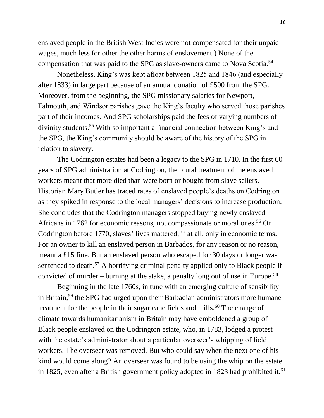enslaved people in the British West Indies were not compensated for their unpaid wages, much less for other the other harms of enslavement.) None of the compensation that was paid to the SPG as slave-owners came to Nova Scotia.<sup>54</sup>

Nonetheless, King's was kept afloat between 1825 and 1846 (and especially after 1833) in large part because of an annual donation of £500 from the SPG. Moreover, from the beginning, the SPG missionary salaries for Newport, Falmouth, and Windsor parishes gave the King's faculty who served those parishes part of their incomes. And SPG scholarships paid the fees of varying numbers of divinity students.<sup>55</sup> With so important a financial connection between King's and the SPG, the King's community should be aware of the history of the SPG in relation to slavery.

The Codrington estates had been a legacy to the SPG in 1710. In the first 60 years of SPG administration at Codrington, the brutal treatment of the enslaved workers meant that more died than were born or bought from slave sellers. Historian Mary Butler has traced rates of enslaved people's deaths on Codrington as they spiked in response to the local managers' decisions to increase production. She concludes that the Codrington managers stopped buying newly enslaved Africans in 1762 for economic reasons, not compassionate or moral ones.<sup>56</sup> On Codrington before 1770, slaves' lives mattered, if at all, only in economic terms. For an owner to kill an enslaved person in Barbados, for any reason or no reason, meant a £15 fine. But an enslaved person who escaped for 30 days or longer was sentenced to death.<sup>57</sup> A horrifying criminal penalty applied only to Black people if convicted of murder – burning at the stake, a penalty long out of use in Europe.<sup>58</sup>

Beginning in the late 1760s, in tune with an emerging culture of sensibility in Britain,<sup>59</sup> the SPG had urged upon their Barbadian administrators more humane treatment for the people in their sugar cane fields and mills.<sup>60</sup> The change of climate towards humanitarianism in Britain may have emboldened a group of Black people enslaved on the Codrington estate, who, in 1783, lodged a protest with the estate's administrator about a particular overseer's whipping of field workers. The overseer was removed. But who could say when the next one of his kind would come along? An overseer was found to be using the whip on the estate in 1825, even after a British government policy adopted in 1823 had prohibited it.<sup>61</sup>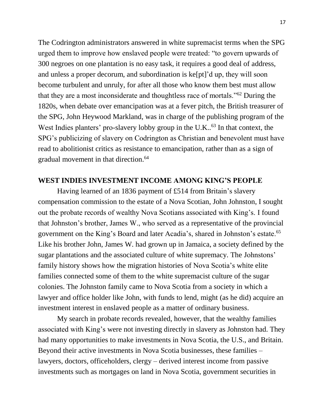The Codrington administrators answered in white supremacist terms when the SPG urged them to improve how enslaved people were treated: "to govern upwards of 300 negroes on one plantation is no easy task, it requires a good deal of address, and unless a proper decorum, and subordination is ke[pt]'d up, they will soon become turbulent and unruly, for after all those who know them best must allow that they are a most inconsiderate and thoughtless race of mortals."<sup>62</sup> During the 1820s, when debate over emancipation was at a fever pitch, the British treasurer of the SPG, John Heywood Markland, was in charge of the publishing program of the West Indies planters' pro-slavery lobby group in the U.K..<sup>63</sup> In that context, the SPG's publicizing of slavery on Codrington as Christian and benevolent must have read to abolitionist critics as resistance to emancipation, rather than as a sign of gradual movement in that direction.<sup>64</sup>

### **WEST INDIES INVESTMENT INCOME AMONG KING'S PEOPLE**

Having learned of an 1836 payment of £514 from Britain's slavery compensation commission to the estate of a Nova Scotian, John Johnston, I sought out the probate records of wealthy Nova Scotians associated with King's. I found that Johnston's brother, James W., who served as a representative of the provincial government on the King's Board and later Acadia's, shared in Johnston's estate.<sup>65</sup> Like his brother John, James W. had grown up in Jamaica, a society defined by the sugar plantations and the associated culture of white supremacy. The Johnstons' family history shows how the migration histories of Nova Scotia's white elite families connected some of them to the white supremacist culture of the sugar colonies. The Johnston family came to Nova Scotia from a society in which a lawyer and office holder like John, with funds to lend, might (as he did) acquire an investment interest in enslaved people as a matter of ordinary business.

My search in probate records revealed, however, that the wealthy families associated with King's were not investing directly in slavery as Johnston had. They had many opportunities to make investments in Nova Scotia, the U.S., and Britain. Beyond their active investments in Nova Scotia businesses, these families – lawyers, doctors, officeholders, clergy – derived interest income from passive investments such as mortgages on land in Nova Scotia, government securities in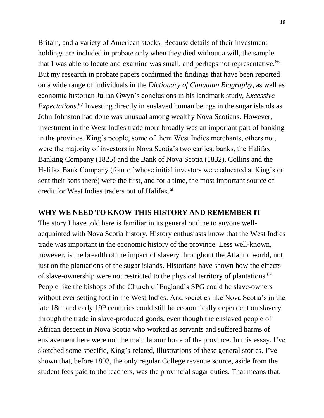Britain, and a variety of American stocks. Because details of their investment holdings are included in probate only when they died without a will, the sample that I was able to locate and examine was small, and perhaps not representative.<sup>66</sup> But my research in probate papers confirmed the findings that have been reported on a wide range of individuals in the *Dictionary of Canadian Biography*, as well as economic historian Julian Gwyn's conclusions in his landmark study, *Excessive Expectations*. <sup>67</sup> Investing directly in enslaved human beings in the sugar islands as John Johnston had done was unusual among wealthy Nova Scotians. However, investment in the West Indies trade more broadly was an important part of banking in the province. King's people, some of them West Indies merchants, others not, were the majority of investors in Nova Scotia's two earliest banks, the Halifax Banking Company (1825) and the Bank of Nova Scotia (1832). Collins and the Halifax Bank Company (four of whose initial investors were educated at King's or sent their sons there) were the first, and for a time, the most important source of credit for West Indies traders out of Halifax.<sup>68</sup>

## **WHY WE NEED TO KNOW THIS HISTORY AND REMEMBER IT**

The story I have told here is familiar in its general outline to anyone wellacquainted with Nova Scotia history. History enthusiasts know that the West Indies trade was important in the economic history of the province. Less well-known, however, is the breadth of the impact of slavery throughout the Atlantic world, not just on the plantations of the sugar islands. Historians have shown how the effects of slave-ownership were not restricted to the physical territory of plantations.<sup>69</sup> People like the bishops of the Church of England's SPG could be slave-owners without ever setting foot in the West Indies. And societies like Nova Scotia's in the late 18th and early 19<sup>th</sup> centuries could still be economically dependent on slavery through the trade in slave-produced goods, even though the enslaved people of African descent in Nova Scotia who worked as servants and suffered harms of enslavement here were not the main labour force of the province. In this essay, I've sketched some specific, King's-related, illustrations of these general stories. I've shown that, before 1803, the only regular College revenue source, aside from the student fees paid to the teachers, was the provincial sugar duties. That means that,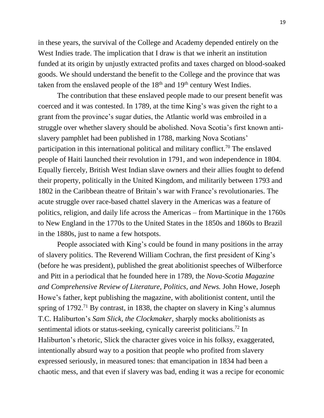in these years, the survival of the College and Academy depended entirely on the West Indies trade. The implication that I draw is that we inherit an institution funded at its origin by unjustly extracted profits and taxes charged on blood-soaked goods. We should understand the benefit to the College and the province that was taken from the enslaved people of the  $18<sup>th</sup>$  and  $19<sup>th</sup>$  century West Indies.

The contribution that these enslaved people made to our present benefit was coerced and it was contested. In 1789, at the time King's was given the right to a grant from the province's sugar duties, the Atlantic world was embroiled in a struggle over whether slavery should be abolished. Nova Scotia's first known antislavery pamphlet had been published in 1788, marking Nova Scotians' participation in this international political and military conflict.<sup>70</sup> The enslaved people of Haiti launched their revolution in 1791, and won independence in 1804. Equally fiercely, British West Indian slave owners and their allies fought to defend their property, politically in the United Kingdom, and militarily between 1793 and 1802 in the Caribbean theatre of Britain's war with France's revolutionaries. The acute struggle over race-based chattel slavery in the Americas was a feature of politics, religion, and daily life across the Americas – from Martinique in the 1760s to New England in the 1770s to the United States in the 1850s and 1860s to Brazil in the 1880s, just to name a few hotspots.

People associated with King's could be found in many positions in the array of slavery politics. The Reverend William Cochran, the first president of King's (before he was president), published the great abolitionist speeches of Wilberforce and Pitt in a periodical that he founded here in 1789, the *Nova-Scotia Magazine and Comprehensive Review of Literature, Politics, and News.* John Howe, Joseph Howe's father, kept publishing the magazine, with abolitionist content, until the spring of  $1792<sup>71</sup>$  By contrast, in 1838, the chapter on slavery in King's alumnus T.C. Haliburton's *Sam Slick, the Clockmaker*, sharply mocks abolitionists as sentimental idiots or status-seeking, cynically careerist politicians.<sup>72</sup> In Haliburton's rhetoric, Slick the character gives voice in his folksy, exaggerated, intentionally absurd way to a position that people who profited from slavery expressed seriously, in measured tones: that emancipation in 1834 had been a chaotic mess, and that even if slavery was bad, ending it was a recipe for economic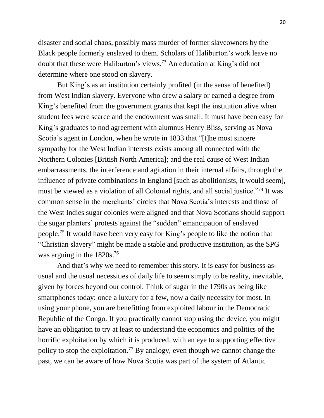disaster and social chaos, possibly mass murder of former slaveowners by the Black people formerly enslaved to them. Scholars of Haliburton's work leave no doubt that these were Haliburton's views.<sup>73</sup> An education at King's did not determine where one stood on slavery.

But King's as an institution certainly profited (in the sense of benefited) from West Indian slavery. Everyone who drew a salary or earned a degree from King's benefited from the government grants that kept the institution alive when student fees were scarce and the endowment was small. It must have been easy for King's graduates to nod agreement with alumnus Henry Bliss, serving as Nova Scotia's agent in London, when he wrote in 1833 that "[t]he most sincere sympathy for the West Indian interests exists among all connected with the Northern Colonies [British North America]; and the real cause of West Indian embarrassments, the interference and agitation in their internal affairs, through the influence of private combinations in England [such as abolitionists, it would seem], must be viewed as a violation of all Colonial rights, and all social justice."<sup>74</sup> It was common sense in the merchants' circles that Nova Scotia's interests and those of the West Indies sugar colonies were aligned and that Nova Scotians should support the sugar planters' protests against the "sudden" emancipation of enslaved people. <sup>75</sup> It would have been very easy for King's people to like the notion that "Christian slavery" might be made a stable and productive institution, as the SPG was arguing in the 1820s.<sup>76</sup>

And that's why we need to remember this story. It is easy for business-asusual and the usual necessities of daily life to seem simply to be reality, inevitable, given by forces beyond our control. Think of sugar in the 1790s as being like smartphones today: once a luxury for a few, now a daily necessity for most. In using your phone, you are benefitting from exploited labour in the Democratic Republic of the Congo. If you practically cannot stop using the device, you might have an obligation to try at least to understand the economics and politics of the horrific exploitation by which it is produced, with an eye to supporting effective policy to stop the exploitation.<sup>77</sup> By analogy, even though we cannot change the past, we can be aware of how Nova Scotia was part of the system of Atlantic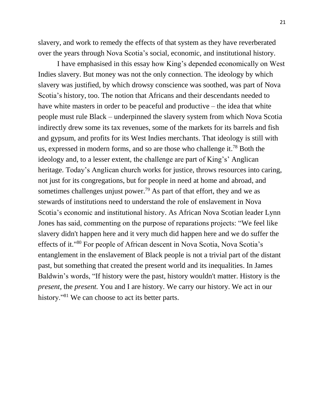slavery, and work to remedy the effects of that system as they have reverberated over the years through Nova Scotia's social, economic, and institutional history.

I have emphasised in this essay how King's depended economically on West Indies slavery. But money was not the only connection. The ideology by which slavery was justified, by which drowsy conscience was soothed, was part of Nova Scotia's history, too. The notion that Africans and their descendants needed to have white masters in order to be peaceful and productive – the idea that white people must rule Black – underpinned the slavery system from which Nova Scotia indirectly drew some its tax revenues, some of the markets for its barrels and fish and gypsum, and profits for its West Indies merchants. That ideology is still with us, expressed in modern forms, and so are those who challenge it.<sup>78</sup> Both the ideology and, to a lesser extent, the challenge are part of King's' Anglican heritage. Today's Anglican church works for justice, throws resources into caring, not just for its congregations, but for people in need at home and abroad, and sometimes challenges unjust power.<sup>79</sup> As part of that effort, they and we as stewards of institutions need to understand the role of enslavement in Nova Scotia's economic and institutional history. As African Nova Scotian leader Lynn Jones has said, commenting on the purpose of reparations projects: "We feel like slavery didn't happen here and it very much did happen here and we do suffer the effects of it."<sup>80</sup> For people of African descent in Nova Scotia, Nova Scotia's entanglement in the enslavement of Black people is not a trivial part of the distant past, but something that created the present world and its inequalities. In James Baldwin's words, "If history were the past, history wouldn't matter. History is the *present*, the *present.* You and I are history. We carry our history. We act in our history."<sup>81</sup> We can choose to act its better parts.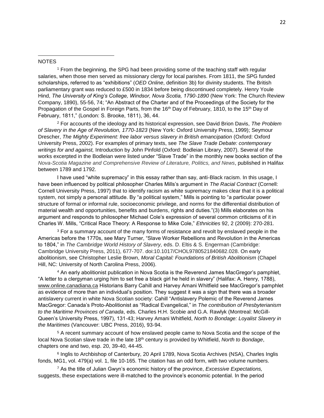#### **NOTES**

 $\overline{\phantom{a}}$ 

<sup>1</sup> From the beginning, the SPG had been providing some of the teaching staff with regular salaries, when those men served as missionary clergy for local parishes. From 1811, the SPG funded scholarships, referred to as "exhibitions" (*OED Online*, definition 3b) for divinity students. The British parliamentary grant was reduced to £500 in 1834 before being discontinued completely. Henry Youle Hind, *The University of King's College, Windsor, Nova Scotia, 1790-1890* (New York: The Church Review Company, 1890), 55-56, 74; "An Abstract of the Charter and of the Proceedings of the Society for the Propagation of the Gospel in Foreign Parts, from the 16<sup>th</sup> Day of February, 1810, to the 15<sup>th</sup> Day of February, 1811," (London: S. Brooke, 1811), 36, 44.

<sup>2</sup> For accounts of the ideology and its historical expression, see David Brion Davis, *The Problem of Slavery in the Age of Revolution, 1770-1823* (New York: Oxford University Press, 1999); Seymour Drescher, *The Mighty Experiment: free labor versus slavery in British emancipation* (Oxford: Oxford University Press, 2002). For examples of primary texts, see *The Slave Trade Debate: contemporary writings for and against,* Introduction by John Pinfold (Oxford: Bodleian Library, 2007). Several of the works excerpted in the Bodleian were listed under "Slave Trade" in the monthly new books section of the *Nova-Scotia Magazine and Comprehensive Review of Literature, Politics, and News*, published in Halifax between 1789 and 1792.

I have used "white supremacy" in this essay rather than say, anti-Black racism. In this usage, I have been influenced by political philosopher Charles Mills's argument in *The Racial Contract* (Cornell: Cornell University Press, 1997) that to identify racism as white supremacy makes clear that it is a political system, not simply a personal attitude. By "a political system," Mills is pointing to "a particular power structure of formal or informal rule, socioeconomic privilege, and norms for the differential distribution of material wealth and opportunities, benefits and burdens, rights and duties."(3) Mills elaborates on his argument and responds to philosopher Michael Cole's expression of several common criticisms of it in Charles W. Mills, "Critical Race Theory: A Response to Mike Cole," *Ethnicities* 92, 2 (2009): 270-281.

<sup>3</sup> For a summary account of the many forms of resistance and revolt by enslaved people in the Americas before the 1770s, see Mary Turner, "Slave Worker Rebellions and Revolution in the Americas to 1804," in *The Cambridge World History of Slavery,* eds. D. Eltis & S. Engerman (Cambridge: Cambridge University Press, 2011), 677-707. doi:10.1017/CHOL9780521840682.028. On early abolitionism, see Christopher Leslie Brown, *Moral Capital: Foundations of British Abolitionism* (Chapel Hill, NC: University of North Carolina Press, 2006).

<sup>4</sup> An early abolitionist publication in Nova Scotia is the Reverend James MacGregor's pamphlet, "A letter to a clergyman urging him to set free a black girl he held in slavery" (Halifax: A. Henry, 1788), [www.online.canadiana.ca](http://www.online.canadiana.ca/) Historians Barry Cahill and Harvey Amani Whitfield see MacGregor's pamphlet as evidence of more than an individual's position. They suggest it was a sign that there was a broader antislavery current in white Nova Scotian society: Cahill "Antislavery Polemic of the Reverend James MacGregor: Canada's Proto-Abolitionist as "Radical Evangelical," in *The contribution of Presbyterianism to the Maritime Provinces of Canada*, eds. Charles H.H. Scobie and G.A. Rawlyk (Montreal: McGill-Queen's University Press, 1997), 131-43; Harvey Amani Whitfield, *North to Bondage: Loyalist Slavery in the Maritimes* (Vancouver: UBC Press, 2016), 93-94.

<sup>5</sup> A recent summary account of how enslaved people came to Nova Scotia and the scope of the local Nova Scotian slave trade in the late 18<sup>th</sup> century is provided by Whitfield, *North to Bondage*, chapters one and two, esp. 20, 39-40, 44-45.

6 Inglis to Archbishop of Canterbury, 20 April 1789, Nova Scotia Archives (NSA), Charles Inglis fonds, MG1, vol. 479(a) vol. 1, file 10-165. The citation has an odd form, with two volume numbers.

<sup>7</sup> As the title of Julian Gwyn's economic history of the province, *Excessive Expectations,* suggests, these expectations were ill-matched to the province's economic potential. In the period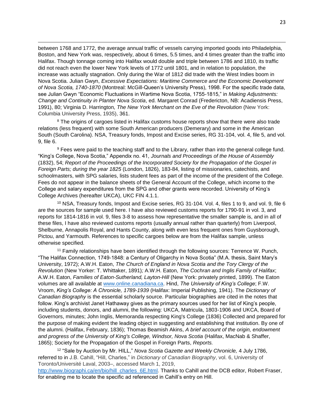between 1768 and 1772, the average annual traffic of vessels carrying imported goods into Philadelphia, Boston, and New York was, respectively, about 6 times, 5.5 times, and 4 times greater than the traffic into Halifax. Though tonnage coming into Halifax would double and triple between 1786 and 1810, its traffic did not reach even the lower New York levels of 1772 until 1801, and in relation to population, the increase was actually stagnation. Only during the War of 1812 did trade with the West Indies boom in Nova Scotia. Julian Gwyn, *Excessive Expectations: Maritime Commerce and the Economic Development of Nova Scotia, 1740-1870* (Montreal: McGill-Queen's University Press), 1998. For the specific trade data, see Julian Gwyn "Economic Fluctuations in Wartime Nova Scotia, 1755-1815," in *Making Adjustments: Change and Continuity in Planter Nova Scotia*, ed. Margaret Conrad (Fredericton, NB: Acadiensis Press, 1991), 80; Virginia D. Harrington*, The New York Merchant on the Eve of the Revolution* (New York: Columbia University Press, 1935), 361.

 $\overline{a}$ 

<sup>8</sup> The origins of cargoes listed in Halifax customs house reports show that there were also trade relations (less frequent) with some South American producers (Demerary) and some in the American South (South Carolina). NSA, Treasury fonds, Impost and Excise series, RG 31-104, vol. 4, file 5, and vol. 9, file 6.

<sup>9</sup> Fees were paid to the teaching staff and to the Library, rather than into the general college fund. "King's College, Nova Scotia," Appendix no. 41, *Journals and Proceedings of the House of Assembly*  (1832), 54; *Report of the Proceedings of the Incorporated Society for the Propagation of the Gospel in Foreign Parts; during the year 1825* (London, 1826), 183-84, listing of missionaries, catechists, and schoolmasters, with SPG salaries, lists student fees as part of the income of the president of the College. Fees do not appear in the balance sheets of the General Account of the College, which income to the College and salary expenditures from the SPG and other grants were recorded. University of King's College Archives (hereafter UKCA), UKC FIN 4.1.1.

<sup>10</sup> NSA, Treasury fonds, Impost and Excise series, RG 31-104. Vol. 4, files 1 to 9, and vol. 9, file 6 are the sources for sample used here. I have also reviewed customs reports for 1790-91 in vol. 3, and reports for 1814-1816 in vol. 9, files 3-8 to assess how representative the smaller sample is, and in all of these files, I have also reviewed customs reports (usually annual rather than quarterly) from Liverpool, Shelburne, Annapolis Royal, and Hants County, along with even less frequent ones from Guysborough, Pictou, and Yarmouth. References to specific cargoes below are from the Halifax sample, unless otherwise specified.

<sup>11</sup> Family relationships have been identified through the following sources: Terrence W. Punch, "The Halifax Connection, 1749-1848: a Century of Oligarchy in Nova Scotia" (M.A. thesis, Saint Mary's University, 1972); A.W.H. Eaton, *The Church of England in Nova Scotia and the Tory Clergy of the Revolution* (New Yorker: T. Whittaker, 1891)*;* A.W.H. Eaton, *The Cochran and Inglis Family of Halifax*; A.W.H. Eaton, *Families of Eaton-Sutherland, Layton-Hill* (New York: privately printed, 1899). The Eaton volumes are all available at [www.online.canadiana.ca.](http://www.online.canadiana.ca/) Hind, *The University of King's College*; F.W. Vroom, *King's College: A Chronicle, 1789-1939* (Halifax: Imperial Publishing, 1941). The *Dictionary of Canadian Biography* is the essential scholarly source. Particular biographies are cited in the notes that follow. King's archivist Janet Hathaway gives as the primary sources used for her list of King's people, including students, donors, and alumni, the following: UKCA, Matricula, 1803-1906 and UKCA, Board of Governors, minutes; John Inglis, Memoranda respecting King's College (1836) Collected and prepared for the purpose of making evident the leading object in suggesting and establishing that institution. By one of the alumni. (Halifax, February, 1836); Thomas Beamish Akins, *A brief account of the origin, endowment and progress of the University of King's College, Windsor, Nova Scotia* (Halifax, MacNab & Shaffer, 1865); Society for the Propagation of the Gospel in Foreign Parts, *Reports.*

<sup>12</sup> "Sale by Auction by Mr. HILL," *Nova Scotia Gazette and Weekly Chronicle,* 4 July 1786, referred to in J.B. Cahill, "Hill, Charles," in *Dictionary of Canadian Biography*, vol. 6, University of Toronto/Université Laval, 2003–, accessed March 1, 2019,

[http://www.biographi.ca/en/bio/hill\\_charles\\_6E.html.](http://www.biographi.ca/en/bio/hill_charles_6E.html) Thanks to Cahill and the DCB editor, Robert Fraser, for enabling me to locate the specific ad referenced in Cahill's entry on Hill.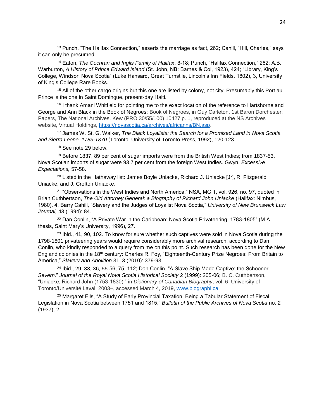<sup>13</sup> Punch, "The Halifax Connection," asserts the marriage as fact, 262; Cahill, "Hill, Charles," says it can only be presumed.

<sup>14</sup> Eaton, *The Cochran and Inglis Family of Halifax*, 8-18; Punch, "Halifax Connection," 262; A.B. Warburton, *A History of Prince Edward Island* (St. John, NB: Barnes & Col, 1923), 424; "Library, King's College, Windsor, Nova Scotia" (Luke Hansard, Great Turnstile, Lincoln's Inn Fields, 1802), 3, University of King's College Rare Books.

<sup>15</sup> All of the other cargo origins but this one are listed by colony, not city. Presumably this Port au Prince is the one in Saint Domingue, present-day Haiti.

<sup>16</sup> I thank Amani Whitfield for pointing me to the exact location of the reference to Hartshorne and George and Ann Black in the Book of Negroes: Book of Negroes, in Guy Carleton, 1st Baron Dorchester: Papers, The National Archives, Kew (PRO 30/55/100) 10427 p. 1, reproduced at the NS Archives website, Virtual Holdings, [https://novascotia.ca/archives/africanns/BN.asp.](https://novascotia.ca/archives/africanns/BN.asp)

<sup>17</sup> James W. St. G. Walker, *The Black Loyalists: the Search for a Promised Land in Nova Scotia and Sierra Leone, 1783-1870* (Toronto: University of Toronto Press, 1992), 120-123.

<sup>18</sup> See note 29 below.

 $\overline{a}$ 

<sup>19</sup> Before 1837, 89 per cent of sugar imports were from the British West Indies; from 1837-53, Nova Scotian imports of sugar were 93.7 per cent from the foreign West Indies. Gwyn, *Excessive Expectations,* 57-58.

 $20$  Listed in the Hathaway list: James Boyle Uniacke, Richard J. Uniacke [Jr], R. Fitzgerald Uniacke, and J. Crofton Uniacke.

<sup>21</sup> "Observations in the West Indies and North America," NSA, MG 1, vol. 926, no. 97, quoted in Brian Cuthbertson, *The Old Attorney General: a Biography of Richard John Uniacke* (Halifax: Nimbus, 1980), 4, Barry Cahill, "Slavery and the Judges of Loyalist Nova Scotia," *University of New Brunswick Law Journal,* 43 (1994): 84.

 $22$  Dan Conlin, "A Private War in the Caribbean: Nova Scotia Privateering, 1783-1805" (M.A. thesis, Saint Mary's University, 1996), 27.

 $23$  lbid., 41, 90, 102. To know for sure whether such captives were sold in Nova Scotia during the 1798-1801 privateering years would require considerably more archival research, according to Dan Conlin, who kindly responded to a query from me on this point. Such research has been done for the New England colonies in the 18<sup>th</sup> century: Charles R. Foy, "Eighteenth-Century Prize Negroes: From Britain to America," *Slavery and Abolition* 31, 3 (2010): 379-93.

 $24$  Ibid., 29, 33, 36, 55-56, 75, 112; Dan Conlin, "A Slave Ship Made Captive: the Schooner *Severn,*" *Journal of the Royal Nova Scotia Historical Society* 2 (1999): 205-06; B. C. Cuthbertson, "Uniacke, Richard John (1753-1830)," in *Dictionary of Canadian Biography*, vol. 6, University of Toronto/Université Laval, 2003–, accessed March 4, 2019, [www.biographi.ca.](http://www.biographi.ca/)

<sup>25</sup> Margaret Ells, "A Study of Early Provincial Taxation: Being a Tabular Statement of Fiscal Legislation in Nova Scotia between 1751 and 1815," *Bulletin of the Public Archives of Nova Scotia* no. 2 (1937), 2.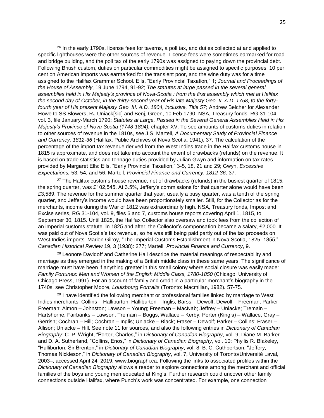$26$  In the early 1790s, license fees for taverns, a poll tax, and duties collected at and applied to specific lighthouses were the other sources of revenue. License fees were sometimes earmarked for road and bridge building, and the poll tax of the early 1790s was assigned to paying down the provincial debt. Following British custom, duties on particular commodities might be assigned to specific purposes: 10 per cent on American imports was earmarked for the transient poor, and the wine duty was for a time assigned to the Halifax Grammar School. Ells, "Early Provincial Taxation," 1; *Journal and Proceedings of the House of Assembly*, 19 June 1794, 91-92; *The statutes at large passed in the several general assemblies held in His Majesty's province of Nova-Scotia : from the first assembly which met at Halifax the second day of October, in the thirty-second year of His late Majesty Geo. II. A.D. 1758, to the fortyfourth year of His present Majesty Geo. III. A.D. 1804, inclusive, Title 57*; Andrew Belcher for Alexander Howe to SS Blowers, RJ Uniack[sic] and Benj, Green, 10 Feb 1790, NSA, Treasury fonds, RG 31-104, vol. 3, file January-March 1790; *Statutes at Large, Passed in the Several General Assemblies Held in His Majesty's Province of Nova Scotia (1748-1804),* chapter XV. To see amounts of customs duties in relation to other sources of revenue in the 1810s, see J.S. Martell, *A Documentary Study of Provincial Finance and Currency, 1812-36* (Halifax: Public Archives of Nova Scotia, 1941), 37. The calculation of the percentage of the import tax revenue derived from the West Indies trade in the Halifax customs house in 1815 is approximate, and does not take into account the extent of drawbacks (refunds) on the revenue. It is based on trade statistics and tonnage duties provided by Julian Gwyn and information on tax rates provided by Margaret Ells: Ells, "Early Provincial Taxation," 3-5, 18, 21 and 29; Gwyn, *Excessive Expectations,* 53, 54, and 56; Martell, *Provincial Finance and Currency, 1812-36,* 37.

 $\overline{a}$ 

 $27$  The Halifax customs house revenue, net of drawbacks (refunds) in the busiest quarter of 1815, the spring quarter, was £102,545. At 3.5%, Jeffery's commissions for that quarter alone would have been £3,589. The revenue for the summer quarter that year, usually a busy quarter, was a tenth of the spring quarter, and Jeffery's income would have been proportionately smaller. Still, for the Collector as for the merchants, income during the War of 1812 was extraordinarily high. NSA, Treasury fonds, Impost and Excise series, RG 31-104, vol. 9, files 6 and 7, customs house reports covering April 1, 1815, to September 30, 1815. Until 1825, the Halifax Collector also oversaw and took fees from the collection of an imperial customs statute. In 1825 and after, the Collector's compensation became a salary, £2,000. It was paid out of Nova Scotia's tax revenue, so he was still being paid partly out of the tax proceeds on West Indies imports. Marion Gilroy, "The Imperial Customs Establishment in Nova Scotia, 1825–1855," *Canadian Historical Review* 19, 3 (1938): 277; Martell, *Provincial Finance and Currency*, 9.

 $28$  Leonore Davidoff and Catherine Hall describe the material meanings of respectability and marriage as they emerged in the making of a British middle class in these same years. The significance of marriage must have been if anything greater in this small colony where social closure was easily made: *Family Fortunes: Men and Women of the English Middle Class, 1780-1850* (Chicago: University of Chicago Press, 1991). For an account of family and credit in a particular merchant's biography in the 1740s, see Christopher Moore, *Louisbourg Portraits* (Toronto: Macmillan, 1982)*.* 57-75.

 $29$  I have identified the following merchant or professional families linked by marriage to West Indies merchants: Collins – Halliburton; Halliburton – Inglis; Barss – Dewolf; Dewolf – Freeman; Parker – Freeman; Almon – Johnston; Lawson – Young; Freeman – MacNab; Jeffrey – Uniacke; Tremain – Hartshorne; Fairbanks – Lawson; Tremain – Boggs; Wallace – Kerby; Porter (King's) – Wallace; Gray – Gerrish; Cochran – Hill; Cochran – Inglis; Uniacke – Black; Fraser – Dewolf; Parker – Collins; Fraser – Allison; Uniacke – Hill. See note 11 for sources, and also the following entries in *Dictionary of Canadian Biography:* C. P. Wright, "Porter, Charles," in *Dictionary of Canadian Biography*, vol. 9; Diane M. Barker and D. A. Sutherland, "Collins, Enos," in *Dictionary of Canadian Biography*, vol. 10; Phyllis R. Blakeley, "Halliburton, Sir Brenton," in *Dictionary of Canadian Biography*, vol. 8; B. C. Cuthbertson, "Jeffery, Thomas Nickleson," in *Dictionary of Canadian Biography*, vol. 7, University of Toronto/Université Laval, 2003–, accessed April 24, 2019, www.biographi.ca. Following the links to associated profiles within the *Dictionary of Canadian Biography* allows a reader to explore connections among the merchant and official families of the boys and young men educated at King's. Further research could uncover other family connections outside Halifax, where Punch's work was concentrated. For example, one connection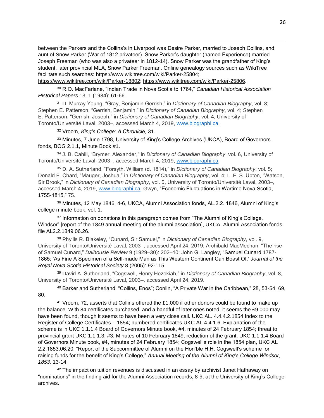between the Parkers and the Collins's in Liverpool was Desire Parker, married to Joseph Collins, and aunt of Snow Parker (War of 1812 privateer). Snow Parker's daughter (named Experience) married Joseph Freeman (who was also a privateer in 1812-14). Snow Parker was the grandfather of King's student, later provincial MLA, Snow Parker Freeman. Online genealogy sources such as WikiTree facilitate such searches: [https://www.wikitree.com/wiki/Parker-25804;](https://www.wikitree.com/wiki/Parker-25804) 

[https://www.wikitree.com/wiki/Parker-18802;](https://www.wikitree.com/wiki/Parker-18802) [https://www.wikitree.com/wiki/Parker-25806.](https://www.wikitree.com/wiki/Parker-25806)

<sup>30</sup> R.O. MacFarlane, "Indian Trade in Nova Scotia to 1764," *Canadian Historical Association Historical Papers* 13, 1 (1934): 61-66.

<sup>31</sup> D. Murray Young, "Gray, Benjamin Gerrish," in *Dictionary of Canadian Biography*, vol. 8; Stephen E. Patterson, "Gerrish, Benjamin," in *Dictionary of Canadian Biography*, vol. 4; Stephen E. Patterson, "Gerrish, Joseph," in *Dictionary of Canadian Biography*, vol. 4, University of Toronto/Université Laval, 2003–, accessed March 4, 2019, [www.biographi.ca.](http://www.biographi.ca/)

<sup>32</sup> Vroom, *King's College: A Chronicle,* 31.

 $\overline{a}$ 

<sup>33</sup> Minutes, 7 June 1798, University of King's College Archives (UKCA), Board of Governors fonds, BOG 2.1.1, Minute Book #1.

<sup>34</sup> J. B. Cahill, "Brymer, Alexander," in *Dictionary of Canadian Biography*, vol. 6, University of Toronto/Université Laval, 2003–, accessed March 4, 2019, [www.biographi.ca.](http://www.biographi.ca/)

<sup>35</sup> D. A. Sutherland, "Forsyth, William (d. 1814)," in *Dictionary of Canadian Biography*, vol. 5; Donald F. Chard, "Mauger, Joshua," in *Dictionary of Canadian Biography*, vol. 4; L. F. S. Upton, "Watson, Sir Brook," in *Dictionary of Canadian Biography*, vol. 5, University of Toronto/Université Laval, 2003–, accessed March 4, 2019, [www.biographi.ca;](http://www.biographi.ca/) Gwyn, "Economic Fluctuations in Wartime Nova Scotia, 1755-1815," 75.

<sup>36</sup> Minutes, 12 May 1846, 4-6, UKCA, Alumni Association fonds, AL.2.2. 1846, Alumni of King's college minute book, vol. 1.

<sup>37</sup> Information on donations in this paragraph comes from "The Alumni of King's College, Windsor" [report of the 1849 annual meeting of the alumni association], UKCA, Alumni Association fonds, file AL2.2.1849.06.26.

<sup>38</sup> Phyllis R. Blakeley, "Cunard, Sir Samuel," in *Dictionary of Canadian Biography*, vol. 9, University of Toronto/Université Laval, 2003–, accessed April 24, 2019; Archibald MacMechan, "The rise of Samuel Cunard," *Dalhousie Review* 9 (1929–30): 202–10; John G. Langley, "Samuel Cunard 1787- 1865: 'As Fine A Specimen of a Self-made Man as This Western Continent Can Boast Of,' *Journal of the Royal Nova Scotia Historical Society* 8 (2005): 92-115.

<sup>39</sup> David A. Sutherland, "Cogswell, Henry Hezekiah," in *Dictionary of Canadian Biography*, vol. 8, University of Toronto/Université Laval, 2003–, accessed April 24, 2019.

<sup>40</sup> Barker and Sutherland, "Collins, Enos"; Conlin, "A Private War in the Caribbean," 28, 53-54, 69, 80.

<sup>41</sup> Vroom, 72, asserts that Collins offered the £1,000 if other donors could be found to make up the balance. With 84 certificates purchased, and a handful of later ones noted, it seems the £9,000 may have been found, though it seems to have been a very close call. UKC AL. 4.4.4.2.1854 Index to the Register of College Certificates – 1854; numbered certificates UKC AL 4.4.1.6. Explanation of the scheme is in UKC 1.1.1.4 Board of Governors Minute book, #4, minutes of 24 February 1854; threat to provincial grant UKC 1.1.1.3, #3, Minutes of 10 February 1849; reduction of the grant, UKC 1.1.1.4 Board of Governors Minute book, #4, minutes of 24 February 1854; Cogswell's role in the 1854 plan, UKC AL 2.2.1853.06.20, "Report of the Subcommittee of Alumni on the Hon'ble H.H. Cogswell's scheme for raising funds for the benefit of King's College," *Annual Meeting of the Alumni of King's College Windsor, 1853,* 13-14.

 $42$  The impact on tuition revenues is discussed in an essay by archivist Janet Hathaway on "nominations" in the finding aid for the Alumni Association records, 8-9, at the University of King's College archives.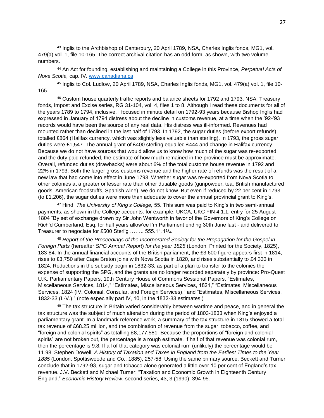43 Inglis to the Archbishop of Canterbury, 20 April 1789, NSA, Charles Inglis fonds, MG1, vol. 479(a) vol. 1, file 10-165. The correct archival citation has an odd form, as shown, with two volume numbers.

 $\overline{a}$ 

<sup>44</sup> An Act for founding, establishing and maintaining a College in this Province, *Perpetual Acts of Nova Scotia,* cap. IV. [www.canadiana.ca.](http://www.canadiana.ca/)

<sup>45</sup> Inglis to Col. Ludlow, 20 April 1789, NSA, Charles Inglis fonds, MG1, vol. 479(a) vol. 1, file 10- 165.

<sup>46</sup> Custom house quarterly traffic reports and balance sheets for 1792 and 1793, NSA, Treasury fonds, Impost and Excise series, RG 31-104, vol. 4, files 1 to 8. Although I read these documents for all of the years 1789 to 1794, inclusive, I focused in minute detail on 1792-93 years because Bishop Inglis had expressed in January of 1794 distress about the decline in customs revenue, at a time when the '92-'93 records would have been the source of any real data. His distress was ill-informed. Revenues had mounted rather than declined in the last half of 1793. In 1792, the sugar duties (before export refunds) totalled £864 (Halifax currency, which was slightly less valuable than sterling). In 1793, the gross sugar duties were £1,547. The annual grant of £400 sterling equalled £444 and change in Halifax currency. Because we do not have sources that would allow us to know how much of the sugar was re-exported and the duty paid refunded, the estimate of how much remained in the province must be approximate. Overall, refunded duties (drawbacks) were about 6% of the total customs house revenue in 1792 and 22% in 1793. Both the larger gross customs revenue and the higher rate of refunds was the result of a new law that had come into effect in June 1793. Whether sugar was re-exported from Nova Scotia to other colonies at a greater or lesser rate than other dutiable goods (gunpowder, tea, British manufactured goods, American foodstuffs, Spanish wine), we do not know. But even if reduced by 22 per cent in 1793 (to £1,206), the sugar duties were more than adequate to cover the annual provincial grant to King's.

<sup>47</sup> Hind, *The University of King's College,* 55. This sum was paid to King's in two semi-annual payments, as shown in the College accounts: for example, UKCA, UKC FIN 4.1.1, entry for 25 August 1804 "By set of exchange drawn by Sir John Wentworth in favor of the Governors of King's College on Rich'd Cumberland, Esq. for half years allow'ce f'm Parliament ending 30th June last - and delivered to Treasurer to negociate for £500 Sterl'g ........ 555.11.11/<sub>4</sub>.

<sup>48</sup> *Report of the Proceedings of the Incorporated Society for the Propagation for the Gospel in Foreign Parts* (hereafter *SPG Annual Report*) *for the year 1825* (London: Printed for the Society, 1825), 183-84. In the annual financial accounts of the British parliament, the £3,600 figure appears first in 1814, rises to £3,750 after Cape Breton joins with Nova Scotia in 1820, and rises substantially to £4,333 in 1824. Reductions in the subsidy begin in 1832-33, as part of a plan to transfer to the colonies the expense of supporting the SPG, and the grants are no longer recorded separately by province: Pro-Quest U.K. Parliamentary Papers, 19th Century House of Commons Sessional Papers, "Estimates, Miscellaneous Services, 1814," "Estimates, Miscellaneous Services, 1821," "Estimates, Miscellaneous Services, 1824 (IV. Colonial, Consular, and Foreign Services)," and "Estimates, Miscellaneous Services, 1832-33 (I.-V.)." (note especially part IV, 10, in the 1832-33 estimates.)

<sup>49</sup> The tax structure in Britain varied considerably between wartime and peace, and in general the tax structure was the subject of much alteration during the period of 1803-1833 when King's enjoyed a parliamentary grant. In a landmark reference work, a summary of the tax structure in 1815 showed a total tax revenue of £68.25 million, and the combination of revenue from the sugar, tobacco, coffee, and "foreign and colonial spirits" as totalling £8,177,581. Because the proportions of "foreign and colonial spirits" are not broken out, the percentage is a rough estimate. If half of that revenue was colonial rum, then the percentage is 9.8. If all of that category was colonial rum (unlikely) the percentage would be 11.98. Stephen Dowell, *A History of Taxation and Taxes in England from the Earliest Times to the Year 1885* (London: Spottiswoode and Co., 1885), 257-58. Using the same primary source, Beckett and Turner conclude that in 1792-93, sugar and tobacco alone generated a little over 10 per cent of England's tax revenue. J.V. Beckett and Michael Turner, "Taxation and Economic Growth in Eighteenth Century England," *Economic History Review*, second series, 43, 3 (1990): 394-95.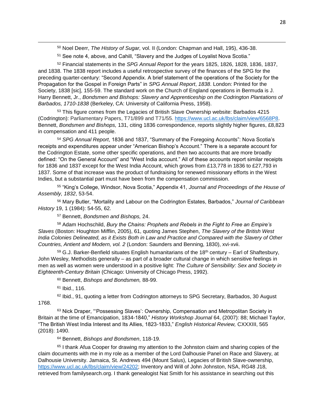<sup>50</sup> Noel Deerr, *The History of Sugar,* vol. II (London: Chapman and Hall, 195), 436-38.

<sup>51</sup> See note 4, above, and Cahill, "Slavery and the Judges of Loyalist Nova Scotia."

<sup>52</sup> Financial statements in the *SPG Annual Report* for the years 1825, 1826, 1828, 1836, 1837, and 1838. The 1838 report includes a useful retrospective survey of the finances of the SPG for the preceding quarter-century: "Second Appendix. A brief statement of the operations of the Society for the Propagation for the Gospel in Foreign Parts" in *SPG Annual Report*, *1838*. London: Printed for the Society, 1838 [sic], 155-59. The standard work on the Church of England operations in Bermuda is J. Harry Bennett, Jr., *Bondsmen and Bishops: Slavery and Apprenticeship on the Codrington Plantations of Barbados, 1710-1838* (Berkeley, CA: University of California Press, 1958).

<sup>53</sup> This figure comes from the Legacies of British Slave Ownership website: Barbados 4215 (Codrington): Parliamentary Papers, T71/899 and T71/55. [https://www.ucl.ac.uk/lbs/claim/view/6568P8.](https://www.ucl.ac.uk/lbs/claim/view/6568P8) Bennett, *Bondsmen and Bishops,* 131, citing 1836 correspondence, reports slightly higher figures, £8,823 in compensation and 411 people.

<sup>54</sup> *SPG Annual Report*, 1836 and 1837, "Summary of the Foregoing Accounts": Nova Scotia's receipts and expenditures appear under "American Bishop's Account." There is a separate account for the Codrington Estate, some other specific operations, and then two accounts that are more broadly defined: "On the General Account" and "West India account." All of these accounts report similar receipts for 1836 and 1837 except for the West India Account, which grows from £13,778 in 1836 to £27,793 in 1837. Some of that increase was the product of fundraising for renewed missionary efforts in the West Indies, but a substantial part must have been from the compensation commission.

<sup>55</sup> "King's College, Windsor, Nova Scotia," Appendix 41, *Journal and Proceedings of the House of Assembly, 1832*, 53-54.

<sup>56</sup> Mary Butler, "Mortality and Labour on the Codrington Estates, Barbados," *Journal of Caribbean History* 19, 1 (1984): 54-55, 62.

<sup>57</sup> Bennett, *Bondsmen and Bishops,* 24.

<sup>58</sup> Adam Hochschild, *Bury the Chains: Prophets and Rebels in the Fight to Free an Empire's Slaves* (Boston: Houghton Mifflin, 2005), 61, quoting James Stephen, *The Slavery of the British West India Colonies Delineated, as it Exists Both in Law and Practice and Compared with the Slavery of Other Countries, Antient and Modern, vol. 2* (London: Saunders and Benning, 1830), xvi-xvii.

 $59$  G.J. Barker-Benfield situates English humanitarians of the 18<sup>th</sup> century – Earl of Shaftesbury, John Wesley, Methodists generally – as part of a broader cultural change in which sensitive feelings in men as well as women were understood in a positive light: *The Culture of Sensibility: Sex and Society in Eighteenth-Century Britain* (Chicago: University of Chicago Press, 1992).

<sup>60</sup> Bennett, *Bishops and Bondsmen,* 88-99.

<sup>61</sup> Ibid., 116.

 $\overline{a}$ 

 $62$  Ibid., 91, quoting a letter from Codrington attorneys to SPG Secretary, Barbados, 30 August 1768.

<sup>63</sup> Nick Draper, "Possessing Slaves': Ownership, Compensation and Metropolitan Society in Britain at the time of Emancipation, 1834-1840," *History Workshop Journal* 64, (2007): 88; Michael Taylor, "The British West India Interest and Its Allies, 1823-1833," *English Historical Review,* CXXXIII, 565 (2018): 1490.

<sup>64</sup> Bennett, *Bishops and Bondsmen*, 118-19.

<sup>65</sup> I thank Afua Cooper for drawing my attention to the Johnston claim and sharing copies of the claim documents with me in my role as a member of the Lord Dalhousie Panel on Race and Slavery, at Dalhousie University. Jamaica, St. Andrews 494 (Mount Salus), Legacies of British Slave-ownership, [https://www.ucl.ac.uk/lbs/claim/view/24202;](https://www.ucl.ac.uk/lbs/claim/view/24202) Inventory and Will of John Johnston, NSA, RG48 J18, retrieved from familysearch.org. I thank genealogist Nat Smith for his assistance in searching out this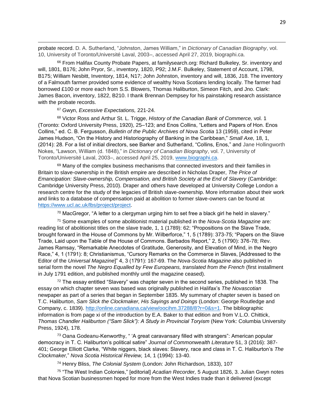probate record. D. A. Sutherland, "Johnston, James William," in *Dictionary of Canadian Biography*, vol. 10, University of Toronto/Université Laval, 2003–, accessed April 27, 2019, biographi.ca.

<sup>66</sup> From Halifax County Probate Papers, at familysearch.org: Richard Bulkeley, Sr. inventory and will, 1801, B176; John Pryor, Sr., inventory, 1820, P92; J.M.F. Bulkeley, Statement of Account, 1798, B175; William Nesbitt, Inventory, 1814, N17; John Johnston, inventory and will, 1836, J18. The inventory of a Falmouth farmer provided some evidence of wealthy Nova Scotians lending locally. The farmer had borrowed £100 or more each from S.S. Blowers, Thomas Haliburton, Simeon Fitch, and Jno. Clark: James Bacon, inventory, 1822, B210. I thank Brennan Dempsey for his painstaking research assistance with the probate records.

<sup>67</sup> Gwyn, *Excessive Expectations,* 221-24.

 $\overline{a}$ 

<sup>68</sup> Victor Ross and Arthur St. L. Trigge, *History of the Canadian Bank of Commerce,* vol. 1 (Toronto: Oxford University Press, 1920), 25–123; and Enos Collins, "Letters and Papers of Hon. Enos Collins," ed. C. B. Fergusson, *Bulletin of the Public Archives of Nova Scotia* 13 (1959), cited in Peter James Hudson, "On the History and Historiography of Banking in the Caribbean," *Small Axe,* 18, 1, (2014): 28. For a list of initial directors, see Barker and Sutherland, "Collins, Enos," and Jane Hollingworth Nokes, "Lawson, William (d. 1848)," in *Dictionary of Canadian Biography*, vol. 7, University of Toronto/Université Laval, 2003–, accessed April 25, 2019, [www.biographi.ca.](http://www.biographi.ca/)

 $69$  Many of the complex business mechanisms that connected investors and their families in Britain to slave-ownership in the British empire are described in Nicholas Draper, *The Price of Emancipation: Slave-ownership, Compensation, and British Society at the End of Slavery (Cambridge:* Cambridge University Press, 2010). Draper and others have developed at University College London a research centre for the study of the legacies of British slave-ownership. More information about their work and links to a database of compensation paid at abolition to former slave-owners can be found at [https://www.ucl.ac.uk/lbs/project/project.](https://www.ucl.ac.uk/lbs/project/project)

 $^{70}$  MacGregor, "A letter to a clergyman urging him to set free a black girl he held in slavery."

<sup>71</sup> Some examples of some abolitionist material published in the *Nova-Scotia Magazine* are*:*  reading list of abolitionist titles on the slave trade, 1, 1 (1789): 62; "Propositions on the Slave Trade, brought forward in the House of Commons by Mr. Wilberforce," 1, 5 (1789): 373-75; "Papers on the Slave Trade, Laid upon the Table of the House of Commons. Barbados Report," 2, 5 (1790): 376-78; Rev. James Ramsay, "Remarkable Anecdotes of Gratitude, Generosity, and Elevation of Mind, in the Negro Race," 4, 1 (1791): 8; Christianismus, "Cursory Remarks on the Commerce in Slaves, [Addressed to the Editor of the *Universal Magazine*]" 4, 3 (1791): 167-69. The *Nova-Scotia Magazine* also published in serial form the novel *The Negro Equalled by Few Europeans, translated from the French* (first installment in July 1791 edition, and published monthly until the magazine ceased).

 $72$  The essay entitled "Slavery" was chapter seven in the second series, published in 1838. The essay on which chapter seven was based was originally published in Halifax's *The Novascotian*  newpaper as part of a series that began in September 1835. My summary of chapter seven is based on T.C. Haliburton, *Sam Slick the Clockmaker, His Sayings and Doings* (London: George Routledge and Company, c. 1839). [http://online.canadiana.ca/view/oocihm.37288/8?r=0&s=1.](http://online.canadiana.ca/view/oocihm.37288/8?r=0&s=1) The bibliographic information is from page xi of the introduction by E.A. Baker to that edition and from V.L.O. Chittick, *Thomas Chandler Haliburton ("Sam Slick"): A Study in Provincial Toryism* (New York: Columbia University Press, 1924), 178.

 $73$  Oana Godeanu-Kenworthy, " 'A great caravansary filled with strangers": American popular democracy in T. C. Haliburton's political satire" *Journal of Commonwealth Literature* 51, 3 (2016): 387- 401; George Elliott Clarke, "White niggers, black slaves: Slavery, race and class in T. C. Haliburton's *The Clockmaker,*" *Nova Scotia Historical Review,* 14, 1 (1994): 13-40.

<sup>74</sup> Henry Bliss, *The Colonial System* (London: John Richardson*,* 1833), 107

<sup>75</sup> "The West Indian Colonies," [editorial] *Acadian Recorder,* 5 August 1826, 3. Julian Gwyn notes that Nova Scotian businessmen hoped for more from the West Indies trade than it delivered (except